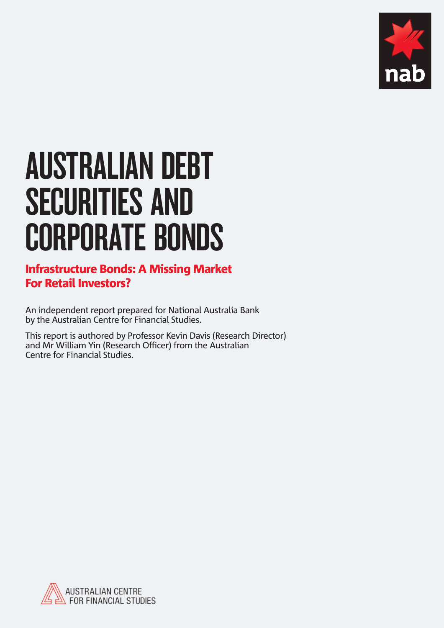

# AUSTRALIAN DEBT SECURITIES AND CORPORATE BONDS

### Infrastructure Bonds: A Missing Market For Retail Investors?

An independent report prepared for National Australia Bank by the Australian Centre for Financial Studies.

This report is authored by Professor Kevin Davis (Research Director) and Mr William Yin (Research Officer) from the Australian Centre for Financial Studies.

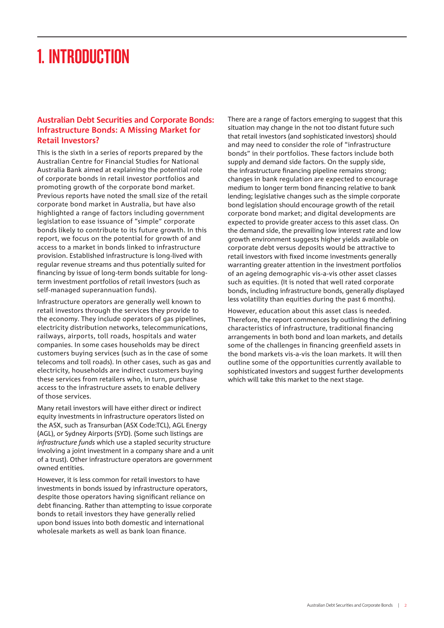### 1. INTRODUCTION

#### **Australian Debt Securities and Corporate Bonds: Infrastructure Bonds: A Missing Market for Retail Investors?**

This is the sixth in a series of reports prepared by the Australian Centre for Financial Studies for National Australia Bank aimed at explaining the potential role of corporate bonds in retail investor portfolios and promoting growth of the corporate bond market. Previous reports have noted the small size of the retail corporate bond market in Australia, but have also highlighted a range of factors including government legislation to ease issuance of "simple" corporate bonds likely to contribute to its future growth. In this report, we focus on the potential for growth of and access to a market in bonds linked to infrastructure provision. Established infrastructure is long-lived with regular revenue streams and thus potentially suited for financing by issue of long-term bonds suitable for longterm investment portfolios of retail investors (such as self-managed superannuation funds).

Infrastructure operators are generally well known to retail investors through the services they provide to the economy. They include operators of gas pipelines, electricity distribution networks, telecommunications, railways, airports, toll roads, hospitals and water companies. In some cases households may be direct customers buying services (such as in the case of some telecoms and toll roads). In other cases, such as gas and electricity, households are indirect customers buying these services from retailers who, in turn, purchase access to the infrastructure assets to enable delivery of those services.

Many retail investors will have either direct or indirect equity investments in infrastructure operators listed on the ASX, such as Transurban (ASX Code:TCL), AGL Energy (AGL), or Sydney Airports (SYD). (Some such listings are *infrastructure funds* which use a stapled security structure involving a joint investment in a company share and a unit of a trust). Other infrastructure operators are government owned entities.

However, it is less common for retail investors to have investments in bonds issued by infrastructure operators, despite those operators having significant reliance on debt financing. Rather than attempting to issue corporate bonds to retail investors they have generally relied upon bond issues into both domestic and international wholesale markets as well as bank loan finance.

There are a range of factors emerging to suggest that this situation may change in the not too distant future such that retail investors (and sophisticated investors) should and may need to consider the role of "infrastructure bonds" in their portfolios. These factors include both supply and demand side factors. On the supply side, the infrastructure financing pipeline remains strong; changes in bank regulation are expected to encourage medium to longer term bond financing relative to bank lending; legislative changes such as the simple corporate bond legislation should encourage growth of the retail corporate bond market; and digital developments are expected to provide greater access to this asset class. On the demand side, the prevailing low interest rate and low growth environment suggests higher yields available on corporate debt versus deposits would be attractive to retail investors with fixed income investments generally warranting greater attention in the investment portfolios of an ageing demographic vis-a-vis other asset classes such as equities. (It is noted that well rated corporate bonds, including infrastructure bonds, generally displayed less volatility than equities during the past 6 months).

However, education about this asset class is needed. Therefore, the report commences by outlining the defining characteristics of infrastructure, traditional financing arrangements in both bond and loan markets, and details some of the challenges in financing greenfield assets in the bond markets vis-a-vis the loan markets. It will then outline some of the opportunities currently available to sophisticated investors and suggest further developments which will take this market to the next stage.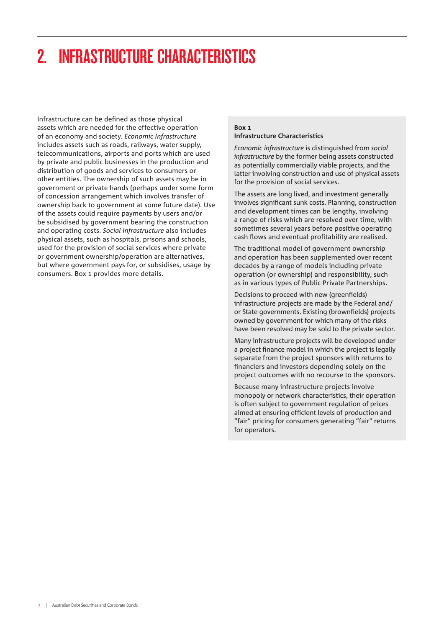# 2. INFRASTRUCTURE CHARACTERISTICS

Infrastructure can be defined as those physical assets which are needed for the effective operation of an economy and society. *Economic Infrastructure* includes assets such as roads, railways, water supply, telecommunications, airports and ports which are used by private and public businesses in the production and distribution of goods and services to consumers or other entities. The ownership of such assets may be in government or private hands (perhaps under some form of concession arrangement which involves transfer of ownership back to government at some future date). Use of the assets could require payments by users and/or be subsidised by government bearing the construction and operating costs. *Social Infrastructure* also includes physical assets, such as hospitals, prisons and schools, used for the provision of social services where private or government ownership/operation are alternatives, but where government pays for, or subsidises, usage by consumers. Box 1 provides more details.

#### **Box 1 Infrastructure Characteristics**

*Economic infrastructure* is distinguished from *social infrastructure* by the former being assets constructed as potentially commercially viable projects, and the latter involving construction and use of physical assets for the provision of social services.

The assets are long lived, and investment generally involves significant sunk costs. Planning, construction and development times can be lengthy, involving a range of risks which are resolved over time, with sometimes several years before positive operating cash flows and eventual profitability are realised.

The traditional model of government ownership and operation has been supplemented over recent decades by a range of models including private operation (or ownership) and responsibility, such as in various types of Public Private Partnerships.

Decisions to proceed with new (greenfields) infrastructure projects are made by the Federal and/ or State governments. Existing (brownfields) projects owned by government for which many of the risks have been resolved may be sold to the private sector.

Many infrastructure projects will be developed under a project finance model in which the project is legally separate from the project sponsors with returns to financiers and investors depending solely on the project outcomes with no recourse to the sponsors.

Because many infrastructure projects involve monopoly or network characteristics, their operation is often subject to government regulation of prices aimed at ensuring efficient levels of production and "fair" pricing for consumers generating "fair" returns for operators.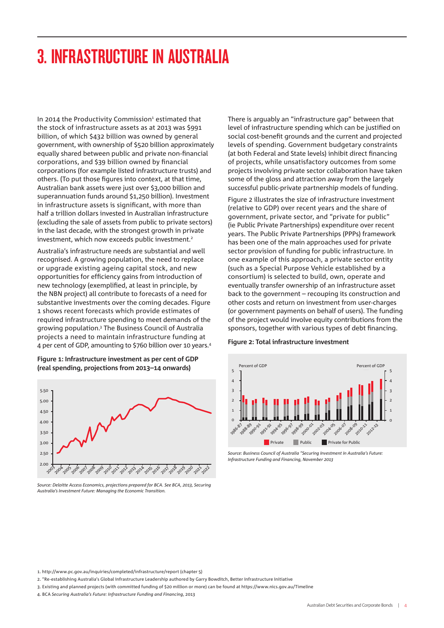### 3. INFRASTRUCTURE IN AUSTRALIA

In 2014 the Productivity Commission<sup>1</sup> estimated that the stock of infrastructure assets as at 2013 was \$991 billion, of which \$432 billion was owned by general government, with ownership of \$520 billion approximately equally shared between public and private non-financial corporations, and \$39 billion owned by financial corporations (for example listed infrastructure trusts) and others. (To put those figures into context, at that time, Australian bank assets were just over \$3,000 billion and superannuation funds around \$1,250 billion). Investment in infrastructure assets is significant, with more than half a trillion dollars invested in Australian infrastructure (excluding the sale of assets from public to private sectors) in the last decade, with the strongest growth in private investment, which now exceeds public investment.<sup>2</sup>

Australia's infrastructure needs are substantial and well recognised. A growing population, the need to replace or upgrade existing ageing capital stock, and new opportunities for efficiency gains from introduction of new technology (exemplified, at least in principle, by the NBN project) all contribute to forecasts of a need for substantive investments over the coming decades. Figure 1 shows recent forecasts which provide estimates of required infrastructure spending to meet demands of the growing population.3 The Business Council of Australia projects a need to maintain infrastructure funding at 4 per cent of GDP, amounting to \$760 billion over 10 years.4

**Figure 1: Infrastructure investment as per cent of GDP (real spending, projections from 2013–14 onwards)**



*Source: Deloitte Access Economics, projections prepared for BCA. See BCA, 2013, Securing Australia's Investment Future: Managing the Economic Transition.*

There is arguably an "infrastructure gap" between that level of infrastructure spending which can be justified on social cost-benefit grounds and the current and projected levels of spending. Government budgetary constraints (at both Federal and State levels) inhibit direct financing of projects, while unsatisfactory outcomes from some projects involving private sector collaboration have taken some of the gloss and attraction away from the largely successful public-private partnership models of funding.

Figure 2 illustrates the size of infrastructure investment (relative to GDP) over recent years and the share of government, private sector, and "private for public" (ie Public Private Partnerships) expenditure over recent years. The Public Private Partnerships (PPPs) framework has been one of the main approaches used for private sector provision of funding for public infrastructure. In one example of this approach, a private sector entity (such as a Special Purpose Vehicle established by a consortium) is selected to build, own, operate and eventually transfer ownership of an infrastructure asset back to the government – recouping its construction and other costs and return on investment from user-charges (or government payments on behalf of users). The funding of the project would involve equity contributions from the sponsors, together with various types of debt financing.

#### **Figure 2: Total infrastructure investment**



*Source: Business Council of Australia "Securing Investment in Australia's Future: Infrastructure Funding and Financing, November 2013*

1. http://www.pc.gov.au/inquiries/completed/infrastructure/report (chapter 5)

- 2. "Re-establishing Australia's Global Infrastructure Leadership authored by Garry Bowditch, Better Infrastructure Initiative
- 3. Existing and planned projects (with committed funding of \$20 million or more) can be found at https://www.nics.gov.au/Timeline

4. BCA *Securing Australia's Future: Infrastructure Funding and Financing*, 2013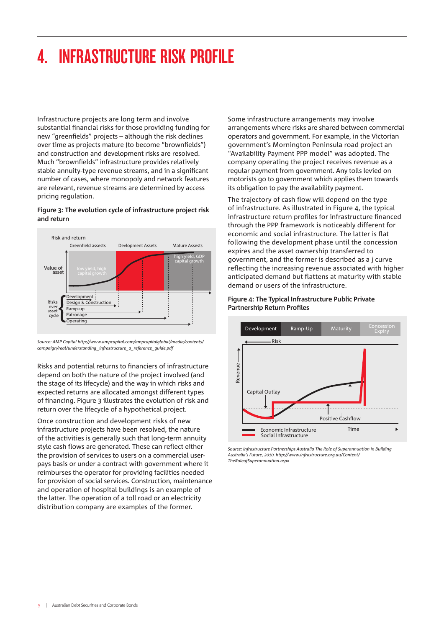# 4. INFRASTRUCTURE RISK PROFILE

Infrastructure projects are long term and involve substantial financial risks for those providing funding for new "greenfields" projects – although the risk declines over time as projects mature (to become "brownfields") and construction and development risks are resolved. Much "brownfields" infrastructure provides relatively stable annuity-type revenue streams, and in a significant number of cases, where monopoly and network features are relevant, revenue streams are determined by access pricing regulation.

#### **Figure 3: The evolution cycle of infrastructure project risk and return**



*Source: AMP Capital http://www.ampcapital.com/ampcapitalglobal/media/contents/ campaign/real/understanding\_infrastructure\_a\_reference\_guide.pdf*

Risks and potential returns to financiers of infrastructure depend on both the nature of the project involved (and the stage of its lifecycle) and the way in which risks and expected returns are allocated amongst different types of financing. Figure 3 illustrates the evolution of risk and return over the lifecycle of a hypothetical project.

Once construction and development risks of new infrastructure projects have been resolved, the nature of the activities is generally such that long-term annuity style cash flows are generated. These can reflect either the provision of services to users on a commercial userpays basis or under a contract with government where it reimburses the operator for providing facilities needed for provision of social services. Construction, maintenance and operation of hospital buildings is an example of the latter. The operation of a toll road or an electricity distribution company are examples of the former.

Some infrastructure arrangements may involve arrangements where risks are shared between commercial operators and government. For example, in the Victorian government's Mornington Peninsula road project an "Availability Payment PPP model" was adopted. The company operating the project receives revenue as a regular payment from government. Any tolls levied on motorists go to government which applies them towards its obligation to pay the availability payment.

The trajectory of cash flow will depend on the type of infrastructure. As illustrated in Figure 4, the typical infrastructure return profiles for infrastructure financed through the PPP framework is noticeably different for economic and social infrastructure. The latter is flat following the development phase until the concession expires and the asset ownership transferred to government, and the former is described as a j curve reflecting the increasing revenue associated with higher anticipated demand but flattens at maturity with stable demand or users of the infrastructure.

#### **Figure 4: The Typical Infrastructure Public Private Partnership Return Profiles**



*Source: Infrastructure Partnerships Australia The Role of Superannuation in Building Australia's Future, 2010. http://www.infrastructure.org.au/Content/ TheRoleofSuperannuation.aspx*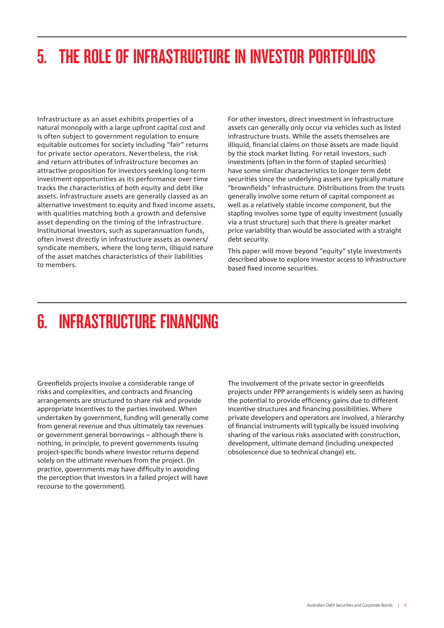# 5. THE ROLE OF INFRASTRUCTURE IN INVESTOR PORTFOLIOS

Infrastructure as an asset exhibits properties of a natural monopoly with a large upfront capital cost and is often subject to government regulation to ensure equitable outcomes for society including "fair" returns for private sector operators. Nevertheless, the risk and return attributes of infrastructure becomes an attractive proposition for investors seeking long-term investment opportunities as its performance over time tracks the characteristics of both equity and debt like assets. Infrastructure assets are generally classed as an alternative investment to equity and fixed income assets, with qualities matching both a growth and defensive asset depending on the timing of the infrastructure. Institutional investors, such as superannuation funds, often invest directly in infrastructure assets as owners/ syndicate members, where the long term, illiquid nature of the asset matches characteristics of their liabilities to members.

For other investors, direct investment in infrastructure assets can generally only occur via vehicles such as listed infrastructure trusts. While the assets themselves are illiquid, financial claims on those assets are made liquid by the stock market listing. For retail investors, such investments (often in the form of stapled securities) have some similar characteristics to longer term debt securities since the underlying assets are typically mature "brownfields" infrastructure. Distributions from the trusts generally involve some return of capital component as well as a relatively stable income component, but the stapling involves some type of equity investment (usually via a trust structure) such that there is greater market price variability than would be associated with a straight debt security.

This paper will move beyond "equity" style investments described above to explore investor access to infrastructure based fixed income securities.

### 6. INFRASTRUCTURE FINANCING

Greenfields projects involve a considerable range of risks and complexities, and contracts and financing arrangements are structured to share risk and provide appropriate incentives to the parties involved. When undertaken by government, funding will generally come from general revenue and thus ultimately tax revenues or government general borrowings – although there is nothing, in principle, to prevent governments issuing project-specific bonds where investor returns depend solely on the ultimate revenues from the project. (In practice, governments may have difficulty in avoiding the perception that investors in a failed project will have recourse to the government).

The involvement of the private sector in greenfields projects under PPP arrangements is widely seen as having the potential to provide efficiency gains due to different incentive structures and financing possibilities. Where private developers and operators are involved, a hierarchy of financial instruments will typically be issued involving sharing of the various risks associated with construction, development, ultimate demand (including unexpected obsolescence due to technical change) etc.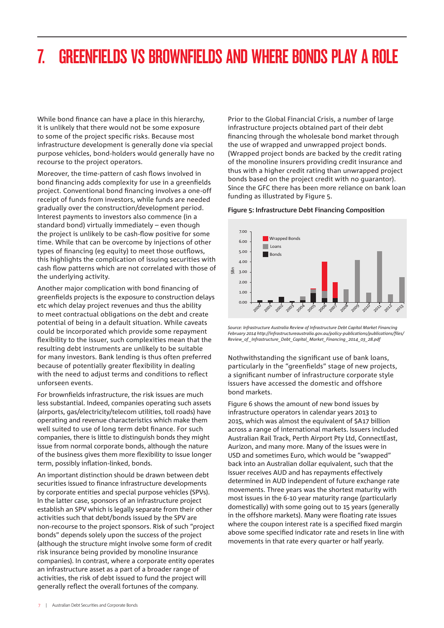### 7. GREENFIELDS VS BROWNFIELDS AND WHERE BONDS PLAY A ROLE

While bond finance can have a place in this hierarchy, it is unlikely that there would not be some exposure to some of the project specific risks. Because most infrastructure development is generally done via special purpose vehicles, bond-holders would generally have no recourse to the project operators.

Moreover, the time-pattern of cash flows involved in bond financing adds complexity for use in a greenfields project. Conventional bond financing involves a one-off receipt of funds from investors, while funds are needed gradually over the construction/development period. Interest payments to investors also commence (in a standard bond) virtually immediately – even though the project is unlikely to be cash-flow positive for some time. While that can be overcome by injections of other types of financing (eg equity) to meet those outflows, this highlights the complication of issuing securities with cash flow patterns which are not correlated with those of the underlying activity.

Another major complication with bond financing of greenfields projects is the exposure to construction delays etc which delay project revenues and thus the ability to meet contractual obligations on the debt and create potential of being in a default situation. While caveats could be incorporated which provide some repayment flexibility to the issuer, such complexities mean that the resulting debt instruments are unlikely to be suitable for many investors. Bank lending is thus often preferred because of potentially greater flexibility in dealing with the need to adjust terms and conditions to reflect unforseen events.

For brownfields infrastructure, the risk issues are much less substantial. Indeed, companies operating such assets (airports, gas/electricity/telecom utilities, toll roads) have operating and revenue characteristics which make them well suited to use of long term debt finance. For such companies, there is little to distinguish bonds they might issue from normal corporate bonds, although the nature of the business gives them more flexibility to issue longer term, possibly inflation-linked, bonds.

An important distinction should be drawn between debt securities issued to finance infrastructure developments by corporate entities and special purpose vehicles (SPVs). In the latter case, sponsors of an infrastructure project establish an SPV which is legally separate from their other activities such that debt/bonds issued by the SPV are non-recourse to the project sponsors. Risk of such "project bonds" depends solely upon the success of the project (although the structure might involve some form of credit risk insurance being provided by monoline insurance companies). In contrast, where a corporate entity operates an infrastructure asset as a part of a broader range of activities, the risk of debt issued to fund the project will generally reflect the overall fortunes of the company.

Prior to the Global Financial Crisis, a number of large infrastructure projects obtained part of their debt financing through the wholesale bond market through the use of wrapped and unwrapped project bonds. (Wrapped project bonds are backed by the credit rating of the monoline insurers providing credit insurance and thus with a higher credit rating than unwrapped project bonds based on the project credit with no guarantor). Since the GFC there has been more reliance on bank loan funding as illustrated by Figure 5.

#### **Figure 5: Infrastructure Debt Financing Composition**



*Source: Infrastructure Australia Review of Infrastructure Debt Capital Market Financing February 2014 http://infrastructureaustralia.gov.au/policy-publications/publications/files/ Review\_of \_Infrastructure\_Debt\_Capital\_Market\_Financing\_2014\_03\_28.pdf* 

Nothwithstanding the significant use of bank loans, particularly in the "greenfields" stage of new projects, a significant number of infrastructure corporate style issuers have accessed the domestic and offshore bond markets.

Figure 6 shows the amount of new bond issues by infrastructure operators in calendar years 2013 to 2015, which was almost the equivalent of \$A17 billion across a range of international markets. Issuers included Australian Rail Track, Perth Airport Pty Ltd, ConnectEast, Aurizon, and many more. Many of the issues were in USD and sometimes Euro, which would be "swapped" back into an Australian dollar equivalent, such that the issuer receives AUD and has repayments effectively determined in AUD independent of future exchange rate movements. Three years was the shortest maturity with most issues in the 6-10 year maturity range (particularly domestically) with some going out to 15 years (generally in the offshore markets). Many were floating rate issues where the coupon interest rate is a specified fixed margin above some specified indicator rate and resets in line with movements in that rate every quarter or half yearly.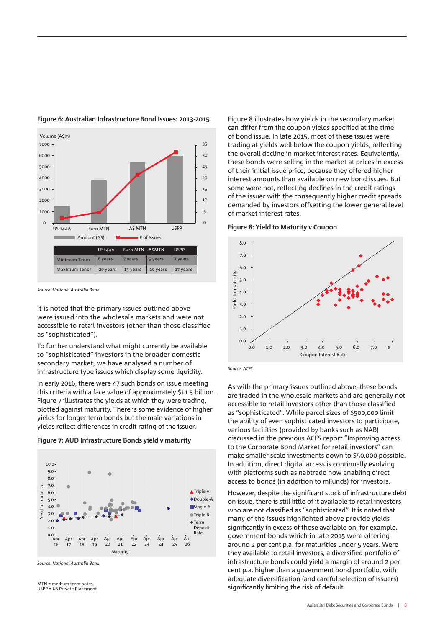

#### **Figure 6: Australian Infrastructure Bond Issues: 2013-2015**

*Source: National Australia Bank*

It is noted that the primary issues outlined above were issued into the wholesale markets and were not accessible to retail investors (other than those classified as "sophisticated").

To further understand what might currently be available to "sophisticated" investors in the broader domestic secondary market, we have analysed a number of infrastructure type issues which display some liquidity.

In early 2016, there were 47 such bonds on issue meeting this criteria with a face value of approximately \$11.5 billion. Figure 7 illustrates the yields at which they were trading, plotted against maturity. There is some evidence of higher yields for longer term bonds but the main variations in yields reflect differences in credit rating of the issuer.

**Figure 7: AUD Infrastructure Bonds yield v maturity**



*Source: National Australia Bank*

MTN = medium term notes USPP = US Private Placement Figure 8 illustrates how yields in the secondary market can differ from the coupon yields specified at the time of bond issue. In late 2015, most of these issues were trading at yields well below the coupon yields, reflecting the overall decline in market interest rates. Equivalently, these bonds were selling in the market at prices in excess of their initial issue price, because they offered higher interest amounts than available on new bond issues. But some were not, reflecting declines in the credit ratings of the issuer with the consequently higher credit spreads demanded by investors offsetting the lower general level of market interest rates.

**Figure 8: Yield to Maturity v Coupon**



*Source: ACFS*

As with the primary issues outlined above, these bonds are traded in the wholesale markets and are generally not accessible to retail investors other than those classified as "sophisticated". While parcel sizes of \$500,000 limit the ability of even sophisticated investors to participate, various facilities (provided by banks such as NAB) discussed in the previous ACFS report "Improving access to the Corporate Bond Market for retail investors" can make smaller scale investments down to \$50,000 possible. In addition, direct digital access is continually evolving with platforms such as nabtrade now enabling direct access to bonds (in addition to mFunds) for investors.

However, despite the significant stock of infrastructure debt on issue, there is still little of it available to retail investors who are not classified as "sophisticated". It is noted that many of the issues highlighted above provide yields significantly in excess of those available on, for example, government bonds which in late 2015 were offering around 2 per cent p.a. for maturities under 5 years. Were they available to retail investors, a diversified portfolio of infrastructure bonds could yield a margin of around 2 per cent p.a. higher than a government bond portfolio, with adequate diversification (and careful selection of issuers) significantly limiting the risk of default.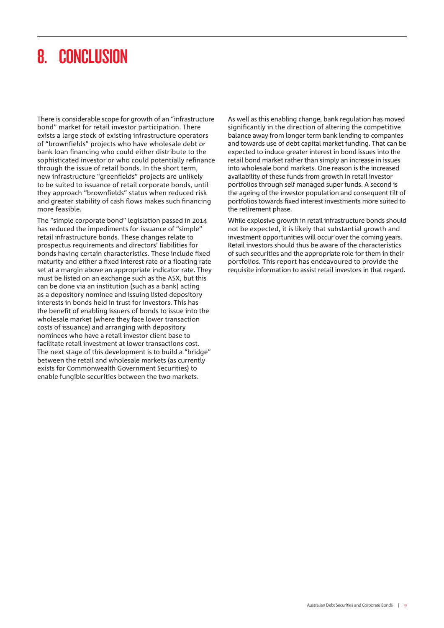### 8. CONCLUSION

There is considerable scope for growth of an "infrastructure bond" market for retail investor participation. There exists a large stock of existing infrastructure operators of "brownfields" projects who have wholesale debt or bank loan financing who could either distribute to the sophisticated investor or who could potentially refinance through the issue of retail bonds. In the short term, new infrastructure "greenfields" projects are unlikely to be suited to issuance of retail corporate bonds, until they approach "brownfields" status when reduced risk and greater stability of cash flows makes such financing more feasible.

The "simple corporate bond" legislation passed in 2014 has reduced the impediments for issuance of "simple" retail infrastructure bonds. These changes relate to prospectus requirements and directors' liabilities for bonds having certain characteristics. These include fixed maturity and either a fixed interest rate or a floating rate set at a margin above an appropriate indicator rate. They must be listed on an exchange such as the ASX, but this can be done via an institution (such as a bank) acting as a depository nominee and issuing listed depository interests in bonds held in trust for investors. This has the benefit of enabling issuers of bonds to issue into the wholesale market (where they face lower transaction costs of issuance) and arranging with depository nominees who have a retail investor client base to facilitate retail investment at lower transactions cost. The next stage of this development is to build a "bridge" between the retail and wholesale markets (as currently exists for Commonwealth Government Securities) to enable fungible securities between the two markets.

As well as this enabling change, bank regulation has moved significantly in the direction of altering the competitive balance away from longer term bank lending to companies and towards use of debt capital market funding. That can be expected to induce greater interest in bond issues into the retail bond market rather than simply an increase in issues into wholesale bond markets. One reason is the increased availability of these funds from growth in retail investor portfolios through self managed super funds. A second is the ageing of the investor population and consequent tilt of portfolios towards fixed interest investments more suited to the retirement phase.

While explosive growth in retail infrastructure bonds should not be expected, it is likely that substantial growth and investment opportunities will occur over the coming years. Retail investors should thus be aware of the characteristics of such securities and the appropriate role for them in their portfolios. This report has endeavoured to provide the requisite information to assist retail investors in that regard.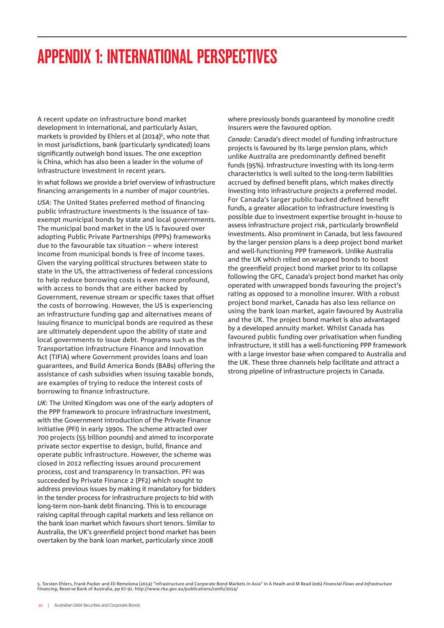### APPENDIX 1: INTERNATIONAL PERSPECTIVES

A recent update on infrastructure bond market development in international, and particularly Asian, markets is provided by Ehlers et al (2014)<sup>5</sup>, who note that in most jurisdictions, bank (particularly syndicated) loans significantly outweigh bond issues. The one exception is China, which has also been a leader in the volume of infrastructure investment in recent years.

In what follows we provide a brief overview of infrastructure financing arrangements in a number of major countries.

*USA*: The United States preferred method of financing public infrastructure investments is the issuance of taxexempt municipal bonds by state and local governments. The municipal bond market in the US is favoured over adopting Public Private Partnerships (PPPs) frameworks due to the favourable tax situation – where interest income from municipal bonds is free of income taxes. Given the varying political structures between state to state in the US, the attractiveness of federal concessions to help reduce borrowing costs is even more profound, with access to bonds that are either backed by Government, revenue stream or specific taxes that offset the costs of borrowing. However, the US is experiencing an infrastructure funding gap and alternatives means of issuing finance to municipal bonds are required as these are ultimately dependent upon the ability of state and local governments to issue debt. Programs such as the Transportation Infrastructure Finance and Innovation Act (TIFIA) where Government provides loans and loan guarantees, and Build America Bonds (BABs) offering the assistance of cash subsidies when issuing taxable bonds, are examples of trying to reduce the interest costs of borrowing to finance infrastructure.

*UK*: The United Kingdom was one of the early adopters of the PPP framework to procure infrastructure investment, with the Government introduction of the Private Finance Initiative (PFI) in early 1990s. The scheme attracted over 700 projects (55 billion pounds) and aimed to incorporate private sector expertise to design, build, finance and operate public infrastructure. However, the scheme was closed in 2012 reflecting issues around procurement process, cost and transparency in transaction. PFI was succeeded by Private Finance 2 (PF2) which sought to address previous issues by making it mandatory for bidders in the tender process for infrastructure projects to bid with long-term non-bank debt financing. This is to encourage raising capital through capital markets and less reliance on the bank loan market which favours short tenors. Similar to Australia, the UK's greenfield project bond market has been overtaken by the bank loan market, particularly since 2008

where previously bonds guaranteed by monoline credit insurers were the favoured option.

*Canada*: Canada's direct model of funding infrastructure projects is favoured by its large pension plans, which unlike Australia are predominantly defined benefit funds (95%). Infrastructure investing with its long-term characteristics is well suited to the long-term liabilities accrued by defined benefit plans, which makes directly investing into infrastructure projects a preferred model. For Canada's larger public-backed defined benefit funds, a greater allocation to infrastructure investing is possible due to investment expertise brought in-house to assess infrastructure project risk, particularly brownfield investments. Also prominent in Canada, but less favoured by the larger pension plans is a deep project bond market and well-functioning PPP framework. Unlike Australia and the UK which relied on wrapped bonds to boost the greenfield project bond market prior to its collapse following the GFC, Canada's project bond market has only operated with unwrapped bonds favouring the project's rating as opposed to a monoline insurer. With a robust project bond market, Canada has also less reliance on using the bank loan market, again favoured by Australia and the UK. The project bond market is also advantaged by a developed annuity market. Whilst Canada has favoured public funding over privatisation when funding infrastructure, it still has a well-functioning PPP framework with a large investor base when compared to Australia and the UK. These three channels help facilitate and attract a strong pipeline of infrastructure projects in Canada.

5. Torsten Ehlers, Frank Packer and Eli Remolona (2014) "Infrastructure and Corporate Bond Markets in Asia" in A Heath and M Read (eds) *Financial Flows and Infrastructure Financing*, Reserve Bank of Australia, pp 67-91. http://www.rba.gov.au/publications/confs/2014/